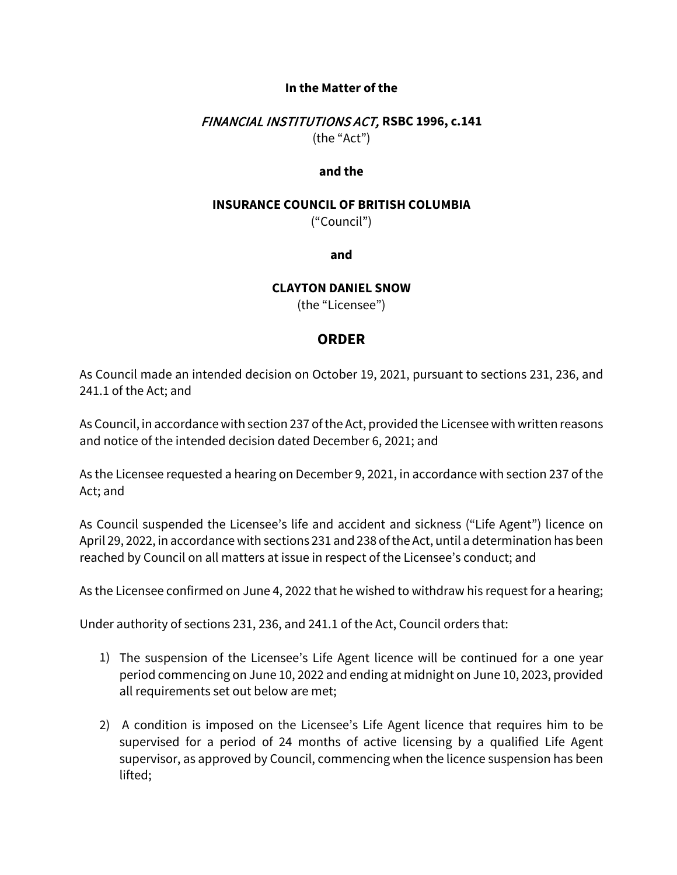### **In the Matter of the**

## FINANCIAL INSTITUTIONS ACT, **RSBC 1996, c.141** (the "Act")

#### **and the**

#### **INSURANCE COUNCIL OF BRITISH COLUMBIA**

("Council")

### **and**

### **CLAYTON DANIEL SNOW**

(the "Licensee")

# **ORDER**

As Council made an intended decision on October 19, 2021, pursuant to sections 231, 236, and 241.1 of the Act; and

As Council, in accordance with section 237 of the Act, provided the Licensee with written reasons and notice of the intended decision dated December 6, 2021; and

As the Licensee requested a hearing on December 9, 2021, in accordance with section 237 of the Act; and

As Council suspended the Licensee's life and accident and sickness ("Life Agent") licence on April 29, 2022, in accordance with sections 231 and 238 of the Act, until a determination has been reached by Council on all matters at issue in respect of the Licensee's conduct; and

As the Licensee confirmed on June 4, 2022 that he wished to withdraw his request for a hearing;

Under authority of sections 231, 236, and 241.1 of the Act, Council orders that:

- 1) The suspension of the Licensee's Life Agent licence will be continued for a one year period commencing on June 10, 2022 and ending at midnight on June 10, 2023, provided all requirements set out below are met;
- 2) A condition is imposed on the Licensee's Life Agent licence that requires him to be supervised for a period of 24 months of active licensing by a qualified Life Agent supervisor, as approved by Council, commencing when the licence suspension has been lifted;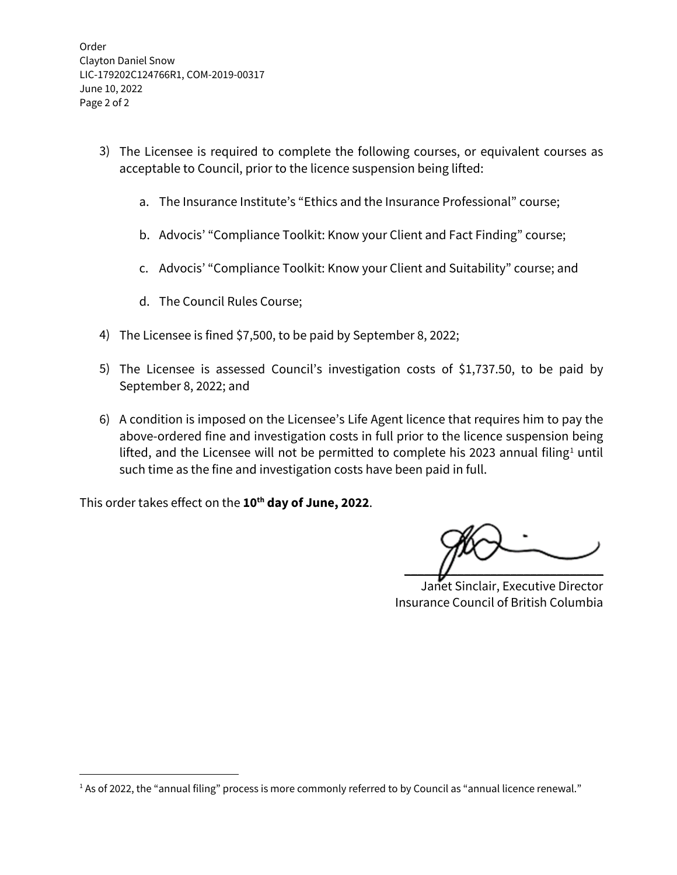Order Clayton Daniel Snow LIC-179202C124766R1, COM-2019-00317 June 10, 2022 Page 2 of 2

- 3) The Licensee is required to complete the following courses, or equivalent courses as acceptable to Council, prior to the licence suspension being lifted:
	- a. The Insurance Institute's "Ethics and the Insurance Professional" course;
	- b. Advocis' "Compliance Toolkit: Know your Client and Fact Finding" course;
	- c. Advocis' "Compliance Toolkit: Know your Client and Suitability" course; and
	- d. The Council Rules Course;
- 4) The Licensee is fined \$7,500, to be paid by September 8, 2022;
- 5) The Licensee is assessed Council's investigation costs of \$1,737.50, to be paid by September 8, 2022; and
- 6) A condition is imposed on the Licensee's Life Agent licence that requires him to pay the above-ordered fine and investigation costs in full prior to the licence suspension being lifted, and the Licensee will not be permitted to complete his 2023 annual filing<sup>[1](#page-1-0)</sup> until such time as the fine and investigation costs have been paid in full.

This order takes effect on the **10th day of June, 2022**.

 $\overline{\mathcal{U}}$   $\overline{\mathcal{U}}$   $\overline{\mathcal{U}}$ 

Janet Sinclair, Executive Director Insurance Council of British Columbia

<span id="page-1-0"></span><sup>&</sup>lt;sup>1</sup> As of 2022, the "annual filing" process is more commonly referred to by Council as "annual licence renewal."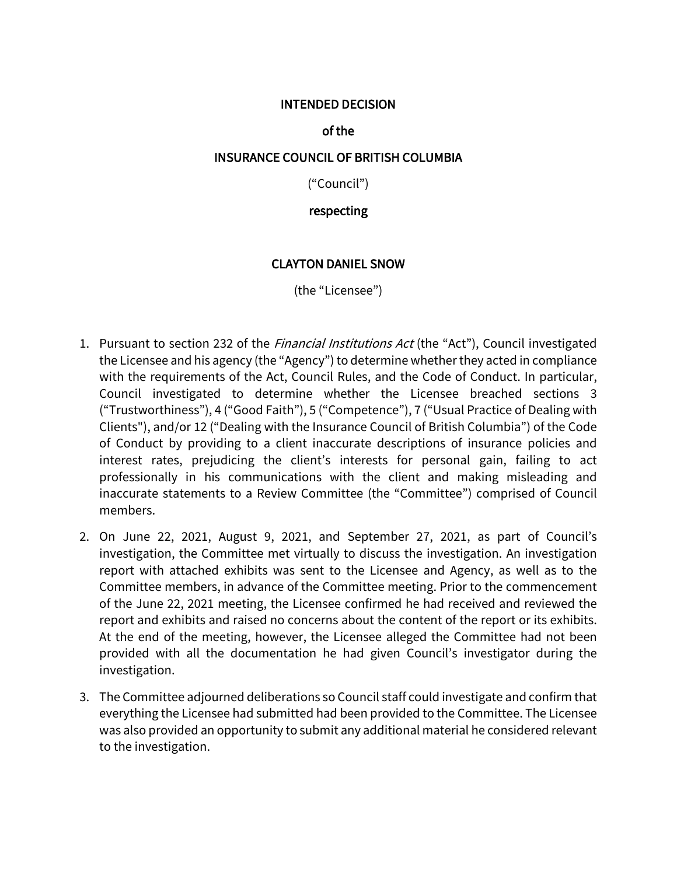### INTENDED DECISION

# of the

## INSURANCE COUNCIL OF BRITISH COLUMBIA

("Council")

# respecting

# CLAYTON DANIEL SNOW

(the "Licensee")

- 1. Pursuant to section 232 of the *Financial Institutions Act* (the "Act"), Council investigated the Licensee and his agency (the "Agency") to determine whether they acted in compliance with the requirements of the Act, Council Rules, and the Code of Conduct. In particular, Council investigated to determine whether the Licensee breached sections 3 ("Trustworthiness"), 4 ("Good Faith"), 5 ("Competence"), 7 ("Usual Practice of Dealing with Clients"), and/or 12 ("Dealing with the Insurance Council of British Columbia") of the Code of Conduct by providing to a client inaccurate descriptions of insurance policies and interest rates, prejudicing the client's interests for personal gain, failing to act professionally in his communications with the client and making misleading and inaccurate statements to a Review Committee (the "Committee") comprised of Council members.
- 2. On June 22, 2021, August 9, 2021, and September 27, 2021, as part of Council's investigation, the Committee met virtually to discuss the investigation. An investigation report with attached exhibits was sent to the Licensee and Agency, as well as to the Committee members, in advance of the Committee meeting. Prior to the commencement of the June 22, 2021 meeting, the Licensee confirmed he had received and reviewed the report and exhibits and raised no concerns about the content of the report or its exhibits. At the end of the meeting, however, the Licensee alleged the Committee had not been provided with all the documentation he had given Council's investigator during the investigation.
- 3. The Committee adjourned deliberations so Council staff could investigate and confirm that everything the Licensee had submitted had been provided to the Committee. The Licensee was also provided an opportunity to submit any additional material he considered relevant to the investigation.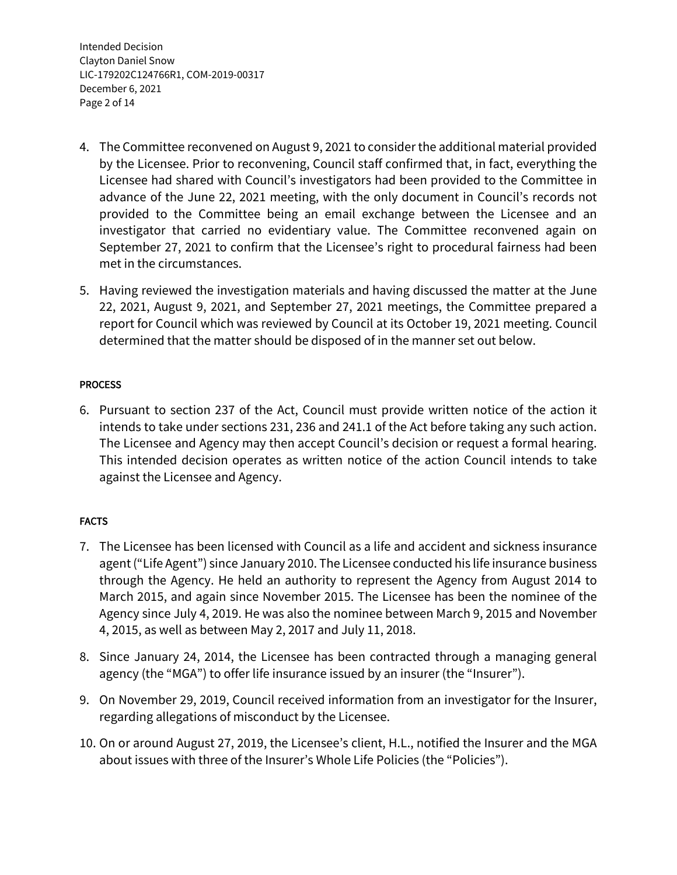Intended Decision Clayton Daniel Snow LIC-179202C124766R1, COM-2019-00317 December 6, 2021 Page 2 of 14

- 4. The Committee reconvened on August 9, 2021 to consider the additional material provided by the Licensee. Prior to reconvening, Council staff confirmed that, in fact, everything the Licensee had shared with Council's investigators had been provided to the Committee in advance of the June 22, 2021 meeting, with the only document in Council's records not provided to the Committee being an email exchange between the Licensee and an investigator that carried no evidentiary value. The Committee reconvened again on September 27, 2021 to confirm that the Licensee's right to procedural fairness had been met in the circumstances.
- 5. Having reviewed the investigation materials and having discussed the matter at the June 22, 2021, August 9, 2021, and September 27, 2021 meetings, the Committee prepared a report for Council which was reviewed by Council at its October 19, 2021 meeting. Council determined that the matter should be disposed of in the manner set out below.

### **PROCESS**

6. Pursuant to section 237 of the Act, Council must provide written notice of the action it intends to take under sections 231, 236 and 241.1 of the Act before taking any such action. The Licensee and Agency may then accept Council's decision or request a formal hearing. This intended decision operates as written notice of the action Council intends to take against the Licensee and Agency.

# FACTS

- 7. The Licensee has been licensed with Council as a life and accident and sickness insurance agent ("Life Agent") since January 2010. The Licensee conducted his life insurance business through the Agency. He held an authority to represent the Agency from August 2014 to March 2015, and again since November 2015. The Licensee has been the nominee of the Agency since July 4, 2019. He was also the nominee between March 9, 2015 and November 4, 2015, as well as between May 2, 2017 and July 11, 2018.
- 8. Since January 24, 2014, the Licensee has been contracted through a managing general agency (the "MGA") to offer life insurance issued by an insurer (the "Insurer").
- 9. On November 29, 2019, Council received information from an investigator for the Insurer, regarding allegations of misconduct by the Licensee.
- 10. On or around August 27, 2019, the Licensee's client, H.L., notified the Insurer and the MGA about issues with three of the Insurer's Whole Life Policies (the "Policies").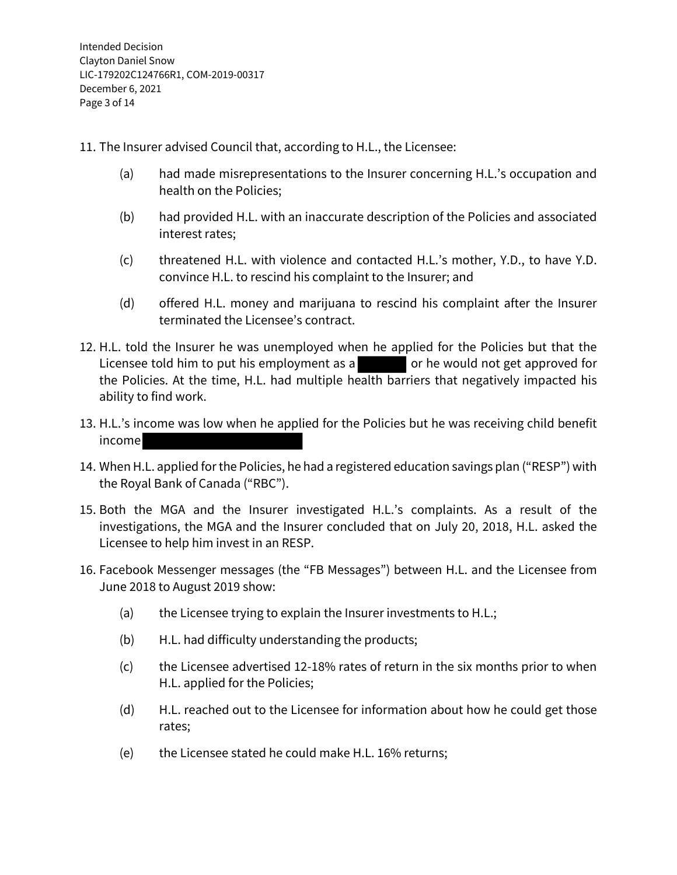11. The Insurer advised Council that, according to H.L., the Licensee:

- (a) had made misrepresentations to the Insurer concerning H.L.'s occupation and health on the Policies;
- (b) had provided H.L. with an inaccurate description of the Policies and associated interest rates;
- (c) threatened H.L. with violence and contacted H.L.'s mother, Y.D., to have Y.D. convince H.L. to rescind his complaint to the Insurer; and
- (d) offered H.L. money and marijuana to rescind his complaint after the Insurer terminated the Licensee's contract.
- 12. H.L. told the Insurer he was unemployed when he applied for the Policies but that the Licensee told him to put his employment as a set or he would not get approved for the Policies. At the time, H.L. had multiple health barriers that negatively impacted his ability to find work.
- 13. H.L.'s income was low when he applied for the Policies but he was receiving child benefit income
- 14. When H.L. applied for the Policies, he had a registered education savings plan ("RESP") with the Royal Bank of Canada ("RBC").
- 15. Both the MGA and the Insurer investigated H.L.'s complaints. As a result of the investigations, the MGA and the Insurer concluded that on July 20, 2018, H.L. asked the Licensee to help him invest in an RESP.
- 16. Facebook Messenger messages (the "FB Messages") between H.L. and the Licensee from June 2018 to August 2019 show:
	- (a) the Licensee trying to explain the Insurer investments to H.L.;
	- (b) H.L. had difficulty understanding the products;
	- (c) the Licensee advertised 12-18% rates of return in the six months prior to when H.L. applied for the Policies;
	- (d) H.L. reached out to the Licensee for information about how he could get those rates;
	- (e) the Licensee stated he could make H.L. 16% returns;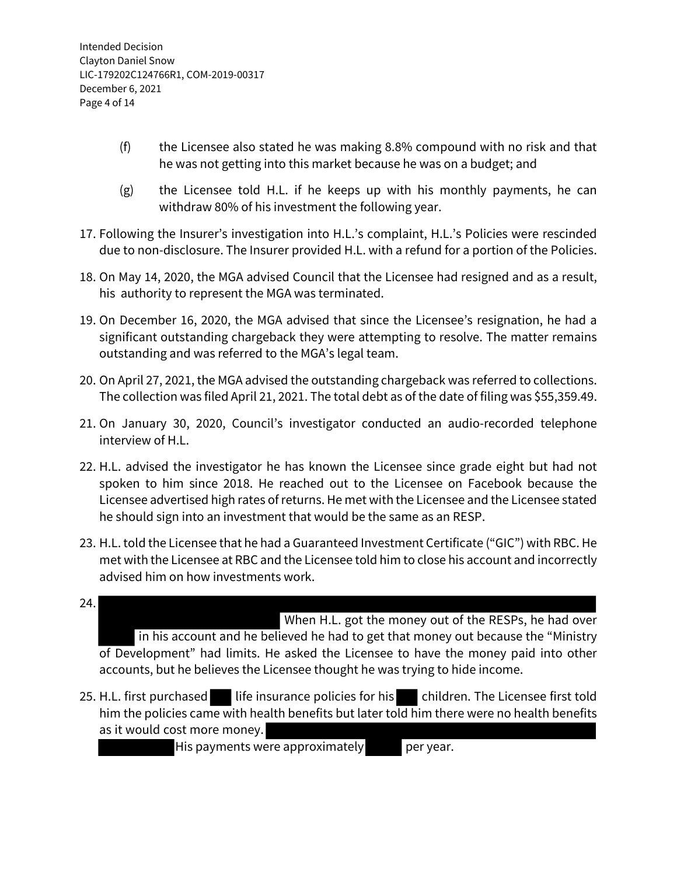- (f) the Licensee also stated he was making 8.8% compound with no risk and that he was not getting into this market because he was on a budget; and
- (g) the Licensee told H.L. if he keeps up with his monthly payments, he can withdraw 80% of his investment the following year.
- 17. Following the Insurer's investigation into H.L.'s complaint, H.L.'s Policies were rescinded due to non-disclosure. The Insurer provided H.L. with a refund for a portion of the Policies.
- 18. On May 14, 2020, the MGA advised Council that the Licensee had resigned and as a result, his authority to represent the MGA was terminated.
- 19. On December 16, 2020, the MGA advised that since the Licensee's resignation, he had a significant outstanding chargeback they were attempting to resolve. The matter remains outstanding and was referred to the MGA's legal team.
- 20. On April 27, 2021, the MGA advised the outstanding chargeback was referred to collections. The collection was filed April 21, 2021. The total debt as of the date of filing was \$55,359.49.
- 21. On January 30, 2020, Council's investigator conducted an audio-recorded telephone interview of H.L.
- 22. H.L. advised the investigator he has known the Licensee since grade eight but had not spoken to him since 2018. He reached out to the Licensee on Facebook because the Licensee advertised high rates of returns. He met with the Licensee and the Licensee stated he should sign into an investment that would be the same as an RESP.
- 23. H.L. told the Licensee that he had a Guaranteed Investment Certificate ("GIC") with RBC. He met with the Licensee at RBC and the Licensee told him to close his account and incorrectly advised him on how investments work.
- 24. When H.L. got the money out of the RESPs, he had over in his account and he believed he had to get that money out because the "Ministry of Development" had limits. He asked the Licensee to have the money paid into other accounts, but he believes the Licensee thought he was trying to hide income.
- 25. H.L. first purchased life insurance policies for his children. The Licensee first told him the policies came with health benefits but later told him there were no health benefits as it would cost more money.

His payments were approximately per year.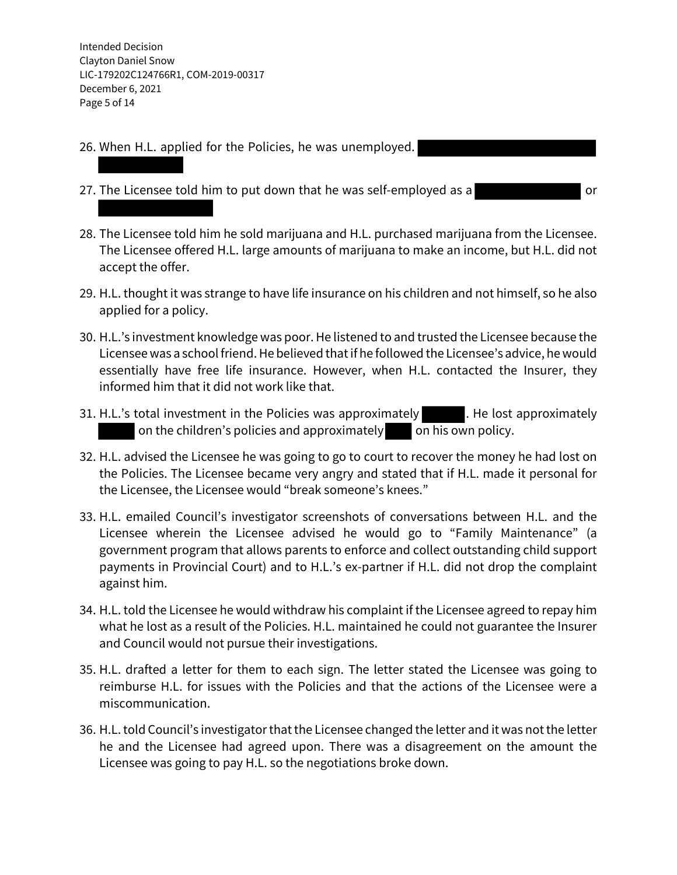Intended Decision Clayton Daniel Snow LIC-179202C124766R1, COM-2019-00317 December 6, 2021 Page 5 of 14

- 26. When H.L. applied for the Policies, he was unemployed.
- 27. The Licensee told him to put down that he was self-employed as a
- 28. The Licensee told him he sold marijuana and H.L. purchased marijuana from the Licensee. The Licensee offered H.L. large amounts of marijuana to make an income, but H.L. did not accept the offer.
- 29. H.L. thought it was strange to have life insurance on his children and not himself, so he also applied for a policy.
- 30. H.L.'s investment knowledge was poor. He listened to and trusted the Licensee because the Licensee was a school friend. He believed that if he followed the Licensee's advice, he would essentially have free life insurance. However, when H.L. contacted the Insurer, they informed him that it did not work like that.
- 31. H.L.'s total investment in the Policies was approximately . He lost approximately on the children's policies and approximately on his own policy.
- 32. H.L. advised the Licensee he was going to go to court to recover the money he had lost on the Policies. The Licensee became very angry and stated that if H.L. made it personal for the Licensee, the Licensee would "break someone's knees."
- 33. H.L. emailed Council's investigator screenshots of conversations between H.L. and the Licensee wherein the Licensee advised he would go to "Family Maintenance" (a government program that allows parents to enforce and collect outstanding child support payments in Provincial Court) and to H.L.'s ex-partner if H.L. did not drop the complaint against him.
- 34. H.L. told the Licensee he would withdraw his complaint if the Licensee agreed to repay him what he lost as a result of the Policies. H.L. maintained he could not guarantee the Insurer and Council would not pursue their investigations.
- 35. H.L. drafted a letter for them to each sign. The letter stated the Licensee was going to reimburse H.L. for issues with the Policies and that the actions of the Licensee were a miscommunication.
- 36. H.L.told Council's investigator that the Licensee changed the letter and it was not the letter he and the Licensee had agreed upon. There was a disagreement on the amount the Licensee was going to pay H.L. so the negotiations broke down.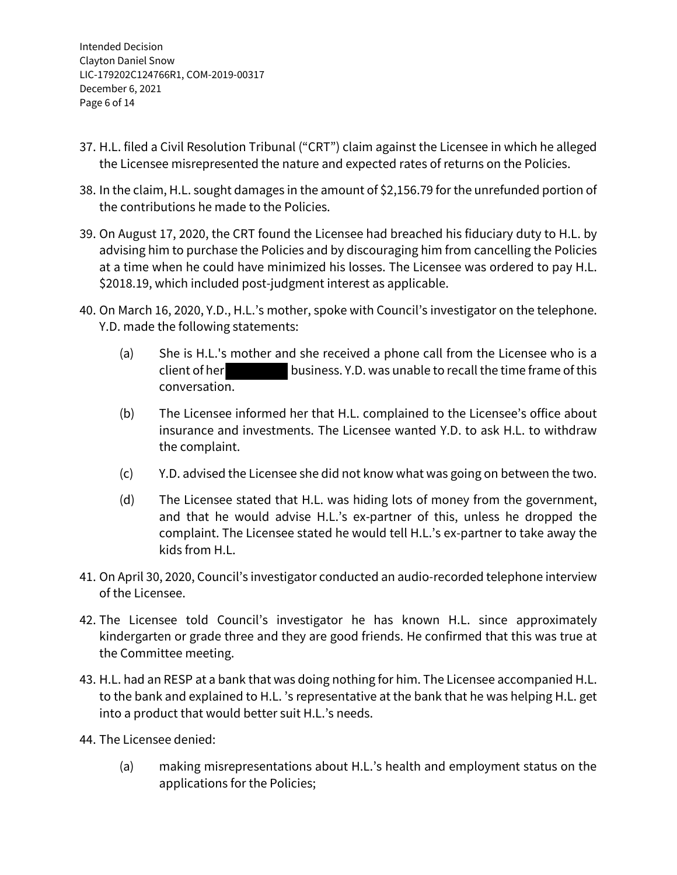Intended Decision Clayton Daniel Snow LIC-179202C124766R1, COM-2019-00317 December 6, 2021 Page 6 of 14

- 37. H.L. filed a Civil Resolution Tribunal ("CRT") claim against the Licensee in which he alleged the Licensee misrepresented the nature and expected rates of returns on the Policies.
- 38. In the claim, H.L. sought damages in the amount of \$2,156.79 for the unrefunded portion of the contributions he made to the Policies.
- 39. On August 17, 2020, the CRT found the Licensee had breached his fiduciary duty to H.L. by advising him to purchase the Policies and by discouraging him from cancelling the Policies at a time when he could have minimized his losses. The Licensee was ordered to pay H.L. \$2018.19, which included post-judgment interest as applicable.
- 40. On March 16, 2020, Y.D., H.L.'s mother, spoke with Council's investigator on the telephone. Y.D. made the following statements:
	- (a) She is H.L.'s mother and she received a phone call from the Licensee who is a client of her business. Y.D. was unable to recall the time frame ofthis conversation.
	- (b) The Licensee informed her that H.L. complained to the Licensee's office about insurance and investments. The Licensee wanted Y.D. to ask H.L. to withdraw the complaint.
	- (c) Y.D. advised the Licensee she did not know what was going on between the two.
	- (d) The Licensee stated that H.L. was hiding lots of money from the government, and that he would advise H.L.'s ex-partner of this, unless he dropped the complaint. The Licensee stated he would tell H.L.'s ex-partner to take away the kids from H.L.
- 41. On April 30, 2020, Council's investigator conducted an audio-recorded telephone interview of the Licensee.
- 42. The Licensee told Council's investigator he has known H.L. since approximately kindergarten or grade three and they are good friends. He confirmed that this was true at the Committee meeting.
- 43. H.L. had an RESP at a bank that was doing nothing for him. The Licensee accompanied H.L. to the bank and explained to H.L. 's representative at the bank that he was helping H.L. get into a product that would better suit H.L.'s needs.
- 44. The Licensee denied:
	- (a) making misrepresentations about H.L.'s health and employment status on the applications for the Policies;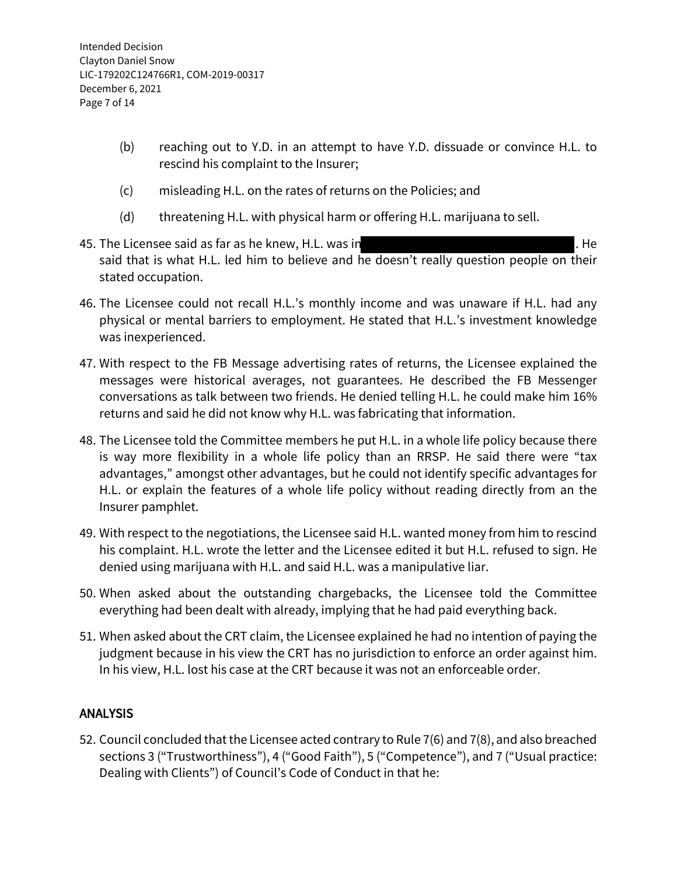- (b) reaching out to Y.D. in an attempt to have Y.D. dissuade or convince H.L. to rescind his complaint to the Insurer;
- (c) misleading H.L. on the rates of returns on the Policies; and
- (d) threatening H.L. with physical harm or offering H.L. marijuana to sell.
- 45. The Licensee said as far as he knew, H.L. was in **All and Strutter and Strutter and Strutter** . He said that is what H.L. led him to believe and he doesn't really question people on their stated occupation.
- 46. The Licensee could not recall H.L.'s monthly income and was unaware if H.L. had any physical or mental barriers to employment. He stated that H.L.'s investment knowledge was inexperienced.
- 47. With respect to the FB Message advertising rates of returns, the Licensee explained the messages were historical averages, not guarantees. He described the FB Messenger conversations as talk between two friends. He denied telling H.L. he could make him 16% returns and said he did not know why H.L. was fabricating that information.
- 48. The Licensee told the Committee members he put H.L. in a whole life policy because there is way more flexibility in a whole life policy than an RRSP. He said there were "tax advantages," amongst other advantages, but he could not identify specific advantages for H.L. or explain the features of a whole life policy without reading directly from an the Insurer pamphlet.
- 49. With respect to the negotiations, the Licensee said H.L. wanted money from him to rescind his complaint. H.L. wrote the letter and the Licensee edited it but H.L. refused to sign. He denied using marijuana with H.L. and said H.L. was a manipulative liar.
- 50. When asked about the outstanding chargebacks, the Licensee told the Committee everything had been dealt with already, implying that he had paid everything back.
- 51. When asked about the CRT claim, the Licensee explained he had no intention of paying the judgment because in his view the CRT has no jurisdiction to enforce an order against him. In his view, H.L. lost his case at the CRT because it was not an enforceable order.

# **ANALYSIS**

52. Council concluded that the Licensee acted contrary to Rule 7(6) and 7(8), and also breached sections 3 ("Trustworthiness"), 4 ("Good Faith"), 5 ("Competence"), and 7 ("Usual practice: Dealing with Clients") of Council's Code of Conduct in that he: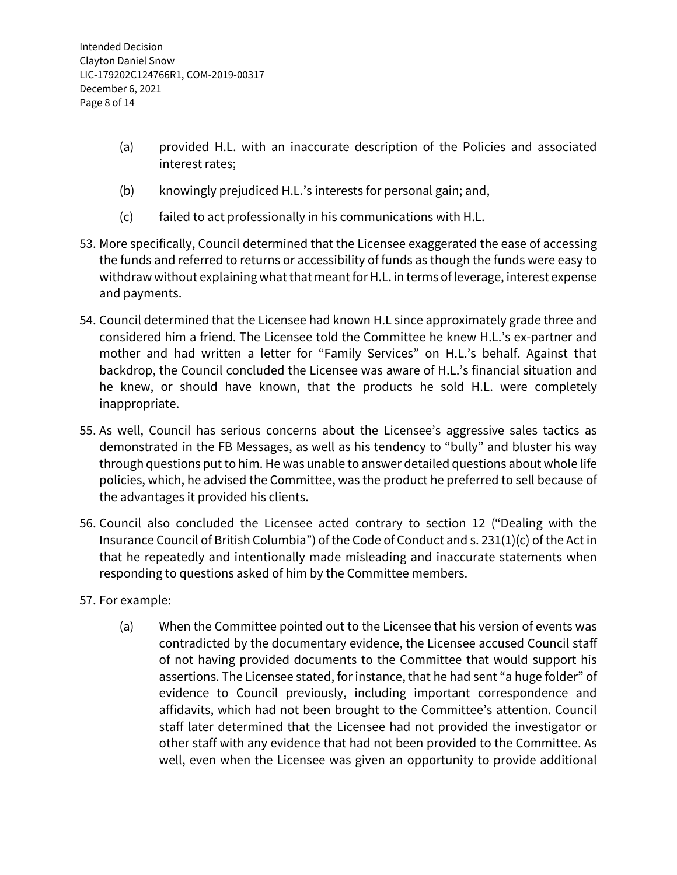- (a) provided H.L. with an inaccurate description of the Policies and associated interest rates;
- (b) knowingly prejudiced H.L.'s interests for personal gain; and,
- (c) failed to act professionally in his communications with H.L.
- 53. More specifically, Council determined that the Licensee exaggerated the ease of accessing the funds and referred to returns or accessibility of funds as though the funds were easy to withdraw without explaining what that meant for H.L. in terms of leverage, interest expense and payments.
- 54. Council determined that the Licensee had known H.L since approximately grade three and considered him a friend. The Licensee told the Committee he knew H.L.'s ex-partner and mother and had written a letter for "Family Services" on H.L.'s behalf. Against that backdrop, the Council concluded the Licensee was aware of H.L.'s financial situation and he knew, or should have known, that the products he sold H.L. were completely inappropriate.
- 55. As well, Council has serious concerns about the Licensee's aggressive sales tactics as demonstrated in the FB Messages, as well as his tendency to "bully" and bluster his way through questions put to him. He was unable to answer detailed questions about whole life policies, which, he advised the Committee, was the product he preferred to sell because of the advantages it provided his clients.
- 56. Council also concluded the Licensee acted contrary to section 12 ("Dealing with the Insurance Council of British Columbia") of the Code of Conduct and s. 231(1)(c) of the Act in that he repeatedly and intentionally made misleading and inaccurate statements when responding to questions asked of him by the Committee members.
- 57. For example:
	- (a) When the Committee pointed out to the Licensee that his version of events was contradicted by the documentary evidence, the Licensee accused Council staff of not having provided documents to the Committee that would support his assertions. The Licensee stated, for instance, that he had sent "a huge folder" of evidence to Council previously, including important correspondence and affidavits, which had not been brought to the Committee's attention. Council staff later determined that the Licensee had not provided the investigator or other staff with any evidence that had not been provided to the Committee. As well, even when the Licensee was given an opportunity to provide additional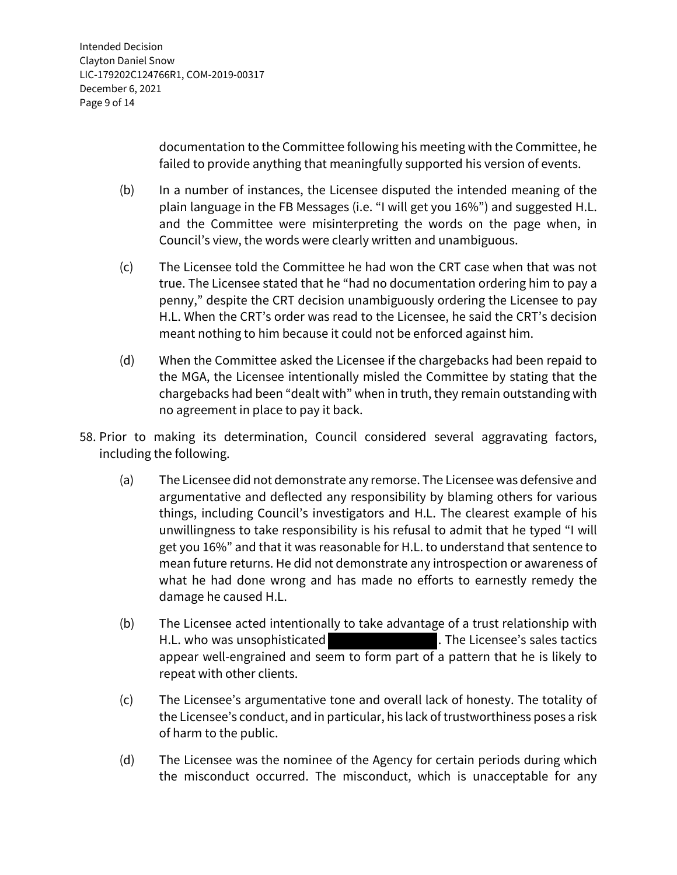documentation to the Committee following his meeting with the Committee, he failed to provide anything that meaningfully supported his version of events.

- (b) In a number of instances, the Licensee disputed the intended meaning of the plain language in the FB Messages (i.e. "I will get you 16%") and suggested H.L. and the Committee were misinterpreting the words on the page when, in Council's view, the words were clearly written and unambiguous.
- (c) The Licensee told the Committee he had won the CRT case when that was not true. The Licensee stated that he "had no documentation ordering him to pay a penny," despite the CRT decision unambiguously ordering the Licensee to pay H.L. When the CRT's order was read to the Licensee, he said the CRT's decision meant nothing to him because it could not be enforced against him.
- (d) When the Committee asked the Licensee if the chargebacks had been repaid to the MGA, the Licensee intentionally misled the Committee by stating that the chargebacks had been "dealt with" when in truth, they remain outstanding with no agreement in place to pay it back.
- 58. Prior to making its determination, Council considered several aggravating factors, including the following.
	- (a) The Licensee did not demonstrate any remorse. The Licensee was defensive and argumentative and deflected any responsibility by blaming others for various things, including Council's investigators and H.L. The clearest example of his unwillingness to take responsibility is his refusal to admit that he typed "I will get you 16%" and that it was reasonable for H.L. to understand that sentence to mean future returns. He did not demonstrate any introspection or awareness of what he had done wrong and has made no efforts to earnestly remedy the damage he caused H.L.
	- (b) The Licensee acted intentionally to take advantage of a trust relationship with H.L. who was unsophisticated **.** The Licensee's sales tactics appear well-engrained and seem to form part of a pattern that he is likely to repeat with other clients.
	- (c) The Licensee's argumentative tone and overall lack of honesty. The totality of the Licensee's conduct, and in particular, his lack of trustworthiness poses a risk of harm to the public.
	- (d) The Licensee was the nominee of the Agency for certain periods during which the misconduct occurred. The misconduct, which is unacceptable for any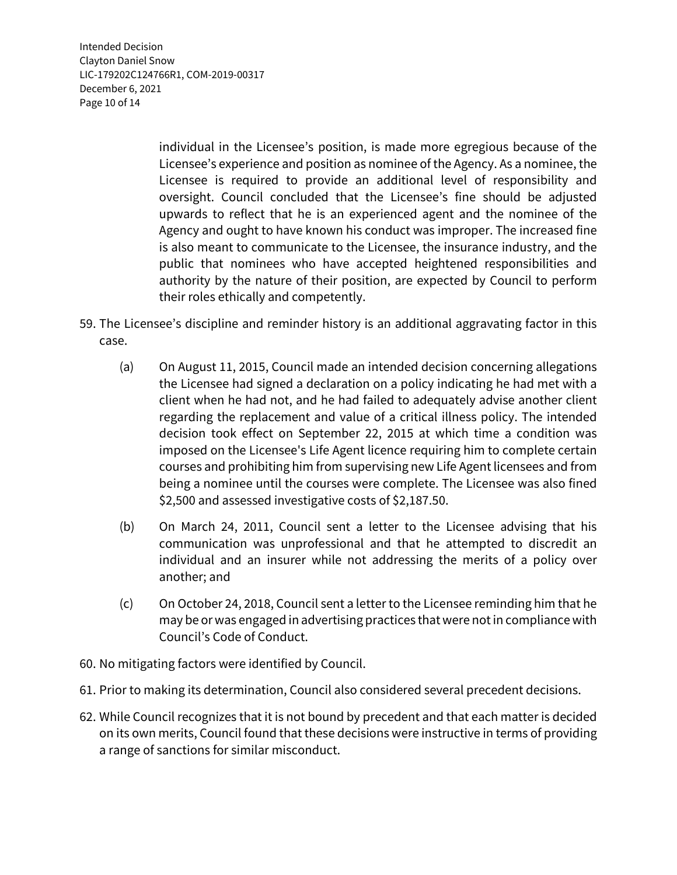individual in the Licensee's position, is made more egregious because of the Licensee's experience and position as nominee of the Agency. As a nominee, the Licensee is required to provide an additional level of responsibility and oversight. Council concluded that the Licensee's fine should be adjusted upwards to reflect that he is an experienced agent and the nominee of the Agency and ought to have known his conduct was improper. The increased fine is also meant to communicate to the Licensee, the insurance industry, and the public that nominees who have accepted heightened responsibilities and authority by the nature of their position, are expected by Council to perform their roles ethically and competently.

- 59. The Licensee's discipline and reminder history is an additional aggravating factor in this case.
	- (a) On August 11, 2015, Council made an intended decision concerning allegations the Licensee had signed a declaration on a policy indicating he had met with a client when he had not, and he had failed to adequately advise another client regarding the replacement and value of a critical illness policy. The intended decision took effect on September 22, 2015 at which time a condition was imposed on the Licensee's Life Agent licence requiring him to complete certain courses and prohibiting him from supervising new Life Agent licensees and from being a nominee until the courses were complete. The Licensee was also fined \$2,500 and assessed investigative costs of \$2,187.50.
	- (b) On March 24, 2011, Council sent a letter to the Licensee advising that his communication was unprofessional and that he attempted to discredit an individual and an insurer while not addressing the merits of a policy over another; and
	- (c) On October 24, 2018, Council sent a letter to the Licensee reminding him that he may be or was engaged in advertising practices that were not in compliance with Council's Code of Conduct.
- 60. No mitigating factors were identified by Council.
- 61. Prior to making its determination, Council also considered several precedent decisions.
- 62. While Council recognizes that it is not bound by precedent and that each matter is decided on its own merits, Council found that these decisions were instructive in terms of providing a range of sanctions for similar misconduct.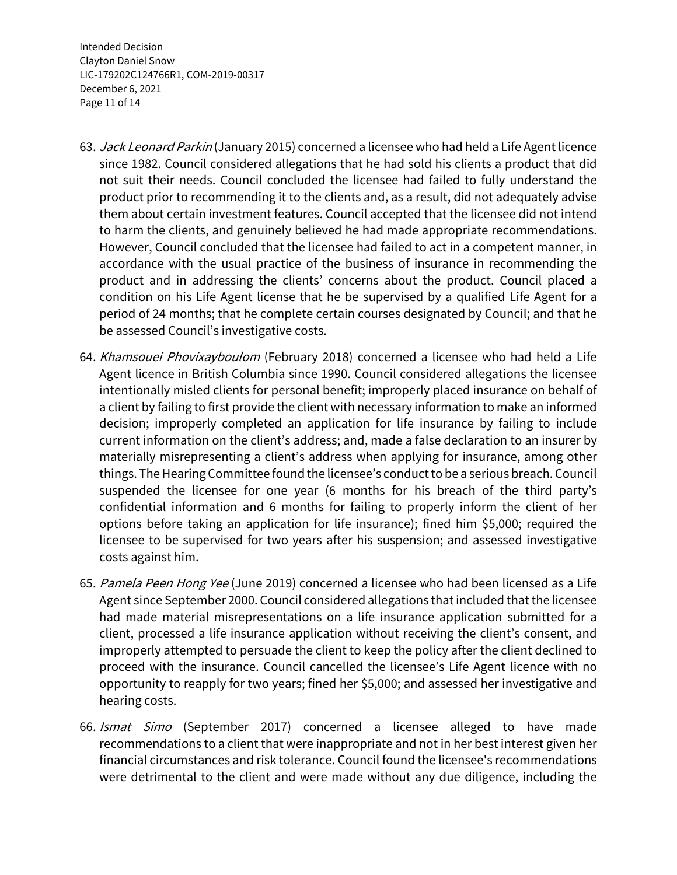Intended Decision Clayton Daniel Snow LIC-179202C124766R1, COM-2019-00317 December 6, 2021 Page 11 of 14

- 63. *Jack Leonard Parkin* (January 2015) concerned a licensee who had held a Life Agent licence since 1982. Council considered allegations that he had sold his clients a product that did not suit their needs. Council concluded the licensee had failed to fully understand the product prior to recommending it to the clients and, as a result, did not adequately advise them about certain investment features. Council accepted that the licensee did not intend to harm the clients, and genuinely believed he had made appropriate recommendations. However, Council concluded that the licensee had failed to act in a competent manner, in accordance with the usual practice of the business of insurance in recommending the product and in addressing the clients' concerns about the product. Council placed a condition on his Life Agent license that he be supervised by a qualified Life Agent for a period of 24 months; that he complete certain courses designated by Council; and that he be assessed Council's investigative costs.
- 64. Khamsouei Phovixayboulom (February 2018) concerned a licensee who had held a Life Agent licence in British Columbia since 1990. Council considered allegations the licensee intentionally misled clients for personal benefit; improperly placed insurance on behalf of a client by failing to first provide the client with necessary information to make an informed decision; improperly completed an application for life insurance by failing to include current information on the client's address; and, made a false declaration to an insurer by materially misrepresenting a client's address when applying for insurance, among other things. The Hearing Committee found the licensee's conduct to be a serious breach. Council suspended the licensee for one year (6 months for his breach of the third party's confidential information and 6 months for failing to properly inform the client of her options before taking an application for life insurance); fined him \$5,000; required the licensee to be supervised for two years after his suspension; and assessed investigative costs against him.
- 65. Pamela Peen Hong Yee (June 2019) concerned a licensee who had been licensed as a Life Agent since September 2000. Council considered allegations that included that the licensee had made material misrepresentations on a life insurance application submitted for a client, processed a life insurance application without receiving the client's consent, and improperly attempted to persuade the client to keep the policy after the client declined to proceed with the insurance. Council cancelled the licensee's Life Agent licence with no opportunity to reapply for two years; fined her \$5,000; and assessed her investigative and hearing costs.
- 66. Ismat Simo (September 2017) concerned a licensee alleged to have made recommendations to a client that were inappropriate and not in her best interest given her financial circumstances and risk tolerance. Council found the licensee's recommendations were detrimental to the client and were made without any due diligence, including the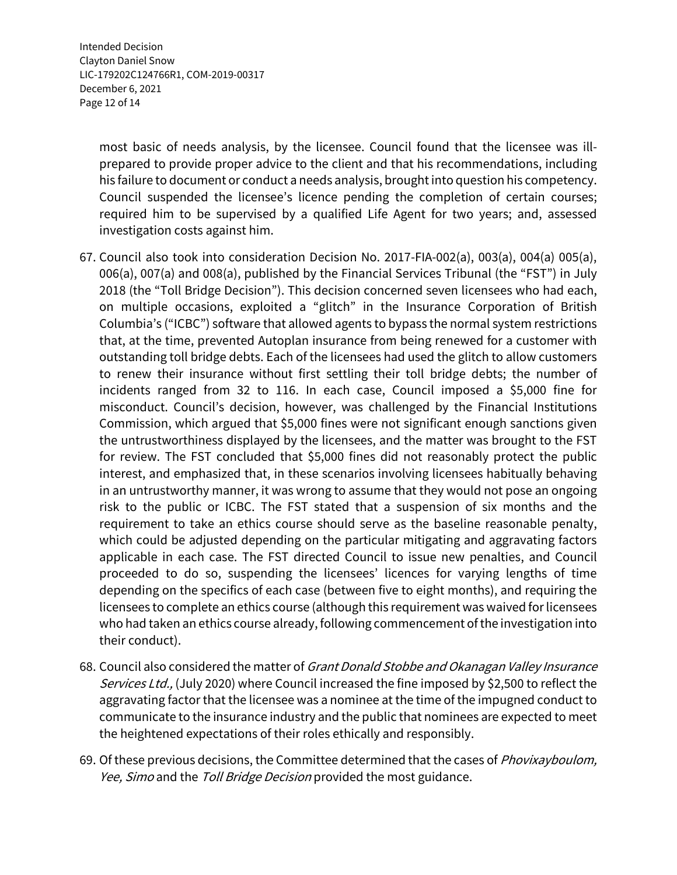Intended Decision Clayton Daniel Snow LIC-179202C124766R1, COM-2019-00317 December 6, 2021 Page 12 of 14

> most basic of needs analysis, by the licensee. Council found that the licensee was illprepared to provide proper advice to the client and that his recommendations, including his failure to document or conduct a needs analysis, brought into question his competency. Council suspended the licensee's licence pending the completion of certain courses; required him to be supervised by a qualified Life Agent for two years; and, assessed investigation costs against him.

- 67. Council also took into consideration Decision No. 2017-FIA-002(a), 003(a), 004(a) 005(a), 006(a), 007(a) and 008(a), published by the Financial Services Tribunal (the "FST") in July 2018 (the "Toll Bridge Decision"). This decision concerned seven licensees who had each, on multiple occasions, exploited a "glitch" in the Insurance Corporation of British Columbia's ("ICBC") software that allowed agents to bypass the normal system restrictions that, at the time, prevented Autoplan insurance from being renewed for a customer with outstanding toll bridge debts. Each of the licensees had used the glitch to allow customers to renew their insurance without first settling their toll bridge debts; the number of incidents ranged from 32 to 116. In each case, Council imposed a \$5,000 fine for misconduct. Council's decision, however, was challenged by the Financial Institutions Commission, which argued that \$5,000 fines were not significant enough sanctions given the untrustworthiness displayed by the licensees, and the matter was brought to the FST for review. The FST concluded that \$5,000 fines did not reasonably protect the public interest, and emphasized that, in these scenarios involving licensees habitually behaving in an untrustworthy manner, it was wrong to assume that they would not pose an ongoing risk to the public or ICBC. The FST stated that a suspension of six months and the requirement to take an ethics course should serve as the baseline reasonable penalty, which could be adjusted depending on the particular mitigating and aggravating factors applicable in each case. The FST directed Council to issue new penalties, and Council proceeded to do so, suspending the licensees' licences for varying lengths of time depending on the specifics of each case (between five to eight months), and requiring the licensees to complete an ethics course (although this requirement was waived for licensees who had taken an ethics course already, following commencement of the investigation into their conduct).
- 68. Council also considered the matter of Grant Donald Stobbe and Okanagan Valley Insurance Services Ltd., (July 2020) where Council increased the fine imposed by \$2,500 to reflect the aggravating factor that the licensee was a nominee at the time of the impugned conduct to communicate to the insurance industry and the public that nominees are expected to meet the heightened expectations of their roles ethically and responsibly.
- 69. Of these previous decisions, the Committee determined that the cases of *Phovixayboulom*, Yee, Simo and the Toll Bridge Decision provided the most guidance.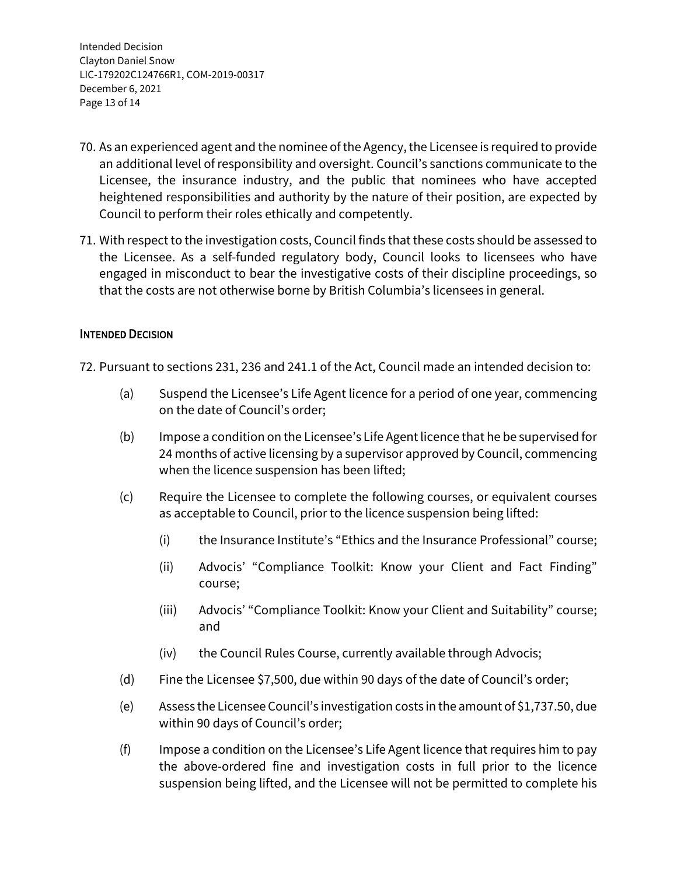Intended Decision Clayton Daniel Snow LIC-179202C124766R1, COM-2019-00317 December 6, 2021 Page 13 of 14

- 70. As an experienced agent and the nominee of the Agency, the Licensee is required to provide an additional level of responsibility and oversight. Council's sanctions communicate to the Licensee, the insurance industry, and the public that nominees who have accepted heightened responsibilities and authority by the nature of their position, are expected by Council to perform their roles ethically and competently.
- 71. With respect to the investigation costs, Council finds that these costs should be assessed to the Licensee. As a self-funded regulatory body, Council looks to licensees who have engaged in misconduct to bear the investigative costs of their discipline proceedings, so that the costs are not otherwise borne by British Columbia's licensees in general.

## INTENDED DECISION

72. Pursuant to sections 231, 236 and 241.1 of the Act, Council made an intended decision to:

- (a) Suspend the Licensee's Life Agent licence for a period of one year, commencing on the date of Council's order;
- (b) Impose a condition on the Licensee's Life Agent licence that he be supervised for 24 months of active licensing by a supervisor approved by Council, commencing when the licence suspension has been lifted;
- (c) Require the Licensee to complete the following courses, or equivalent courses as acceptable to Council, prior to the licence suspension being lifted:
	- (i) the Insurance Institute's "Ethics and the Insurance Professional" course;
	- (ii) Advocis' "Compliance Toolkit: Know your Client and Fact Finding" course;
	- (iii) Advocis' "Compliance Toolkit: Know your Client and Suitability" course; and
	- (iv) the Council Rules Course, currently available through Advocis;
- (d) Fine the Licensee \$7,500, due within 90 days of the date of Council's order;
- (e) Assess the Licensee Council's investigation costs in the amount of \$1,737.50, due within 90 days of Council's order;
- (f) Impose a condition on the Licensee's Life Agent licence that requires him to pay the above-ordered fine and investigation costs in full prior to the licence suspension being lifted, and the Licensee will not be permitted to complete his